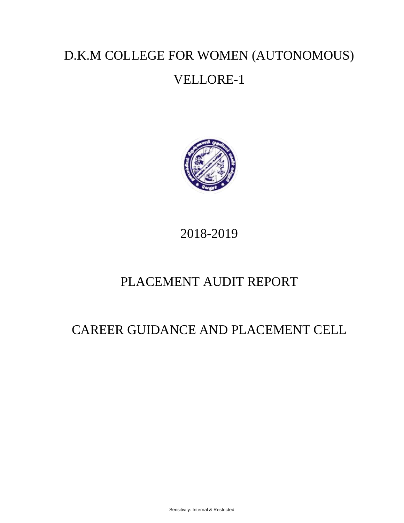## D.K.M COLLEGE FOR WOMEN (AUTONOMOUS) VELLORE-1



### 2018-2019

## PLACEMENT AUDIT REPORT

## CAREER GUIDANCE AND PLACEMENT CELL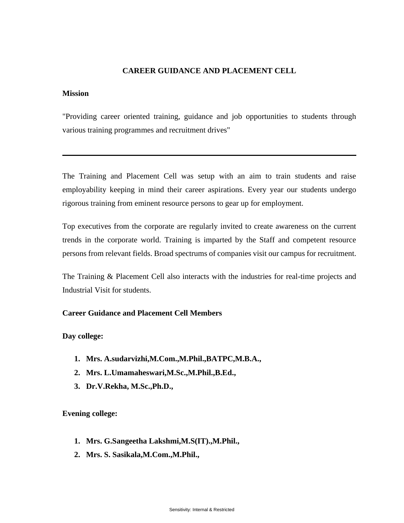#### **CAREER GUIDANCE AND PLACEMENT CELL**

#### **Mission**

"Providing career oriented training, guidance and job opportunities to students through various training programmes and recruitment drives"

The Training and Placement Cell was setup with an aim to train students and raise employability keeping in mind their career aspirations. Every year our students undergo rigorous training from eminent resource persons to gear up for employment.

Top executives from the corporate are regularly invited to create awareness on the current trends in the corporate world. Training is imparted by the Staff and competent resource persons from relevant fields. Broad spectrums of companies visit our campus for recruitment.

The Training & Placement Cell also interacts with the industries for real-time projects and Industrial Visit for students.

#### **Career Guidance and Placement Cell Members**

#### **Day college:**

- **1. Mrs. A.sudarvizhi,M.Com.,M.Phil.,BATPC,M.B.A.,**
- **2. Mrs. L.Umamaheswari,M.Sc.,M.Phil.,B.Ed.,**
- **3. Dr.V.Rekha, M.Sc.,Ph.D.,**

#### **Evening college:**

- **1. Mrs. G.Sangeetha Lakshmi,M.S(IT).,M.Phil.,**
- **2. Mrs. S. Sasikala,M.Com.,M.Phil.,**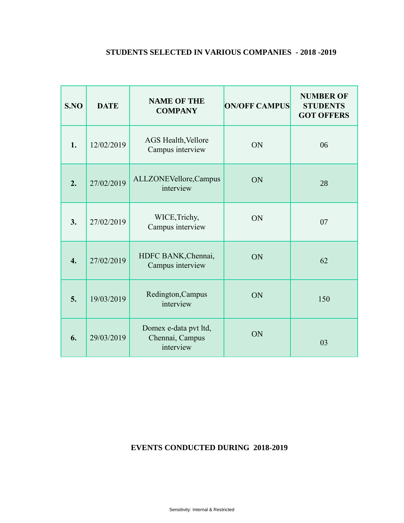#### **STUDENTS SELECTED IN VARIOUS COMPANIES - 2018 -2019**

| S.NO             | <b>DATE</b> | <b>NAME OF THE</b><br><b>COMPANY</b>                  | <b>ON/OFF CAMPUS</b> | <b>NUMBER OF</b><br><b>STUDENTS</b><br><b>GOT OFFERS</b> |
|------------------|-------------|-------------------------------------------------------|----------------------|----------------------------------------------------------|
| 1.               | 12/02/2019  | AGS Health, Vellore<br>Campus interview               | ON                   | 06                                                       |
| 2.               | 27/02/2019  | ALLZONEVellore, Campus<br>interview                   | ON                   | 28                                                       |
| 3.               | 27/02/2019  | WICE, Trichy,<br>Campus interview                     | ON                   | 07                                                       |
| $\overline{4}$ . | 27/02/2019  | HDFC BANK, Chennai,<br>Campus interview               | ON                   | 62                                                       |
| 5.               | 19/03/2019  | Redington, Campus<br>interview                        | ON                   | 150                                                      |
| 6.               | 29/03/2019  | Domex e-data pvt ltd,<br>Chennai, Campus<br>interview | ON                   | 03                                                       |

#### **EVENTS CONDUCTED DURING 2018-2019**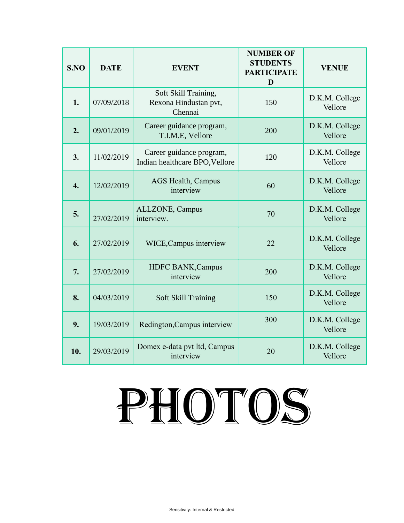| S.NO             | <b>DATE</b> | <b>EVENT</b>                                               | <b>NUMBER OF</b><br><b>STUDENTS</b><br><b>PARTICIPATE</b><br>D | <b>VENUE</b>              |
|------------------|-------------|------------------------------------------------------------|----------------------------------------------------------------|---------------------------|
| 1.               | 07/09/2018  | Soft Skill Training,<br>Rexona Hindustan pvt,<br>Chennai   | 150                                                            | D.K.M. College<br>Vellore |
| 2.               | 09/01/2019  | Career guidance program,<br>T.I.M.E, Vellore               | 200                                                            | D.K.M. College<br>Vellore |
| 3.               | 11/02/2019  | Career guidance program,<br>Indian healthcare BPO, Vellore | 120                                                            | D.K.M. College<br>Vellore |
| $\overline{4}$ . | 12/02/2019  | <b>AGS Health, Campus</b><br>interview                     | 60                                                             | D.K.M. College<br>Vellore |
| 5.               | 27/02/2019  | ALLZONE, Campus<br>interview.                              | 70                                                             | D.K.M. College<br>Vellore |
| 6.               | 27/02/2019  | WICE, Campus interview                                     | 22                                                             | D.K.M. College<br>Vellore |
| 7.               | 27/02/2019  | <b>HDFC BANK, Campus</b><br>interview                      | 200                                                            | D.K.M. College<br>Vellore |
| 8.               | 04/03/2019  | Soft Skill Training                                        | 150                                                            | D.K.M. College<br>Vellore |
| 9.               | 19/03/2019  | Redington, Campus interview                                | 300                                                            | D.K.M. College<br>Vellore |
| 10.              | 29/03/2019  | Domex e-data pvt ltd, Campus<br>interview                  | 20                                                             | D.K.M. College<br>Vellore |

# PHOTOS